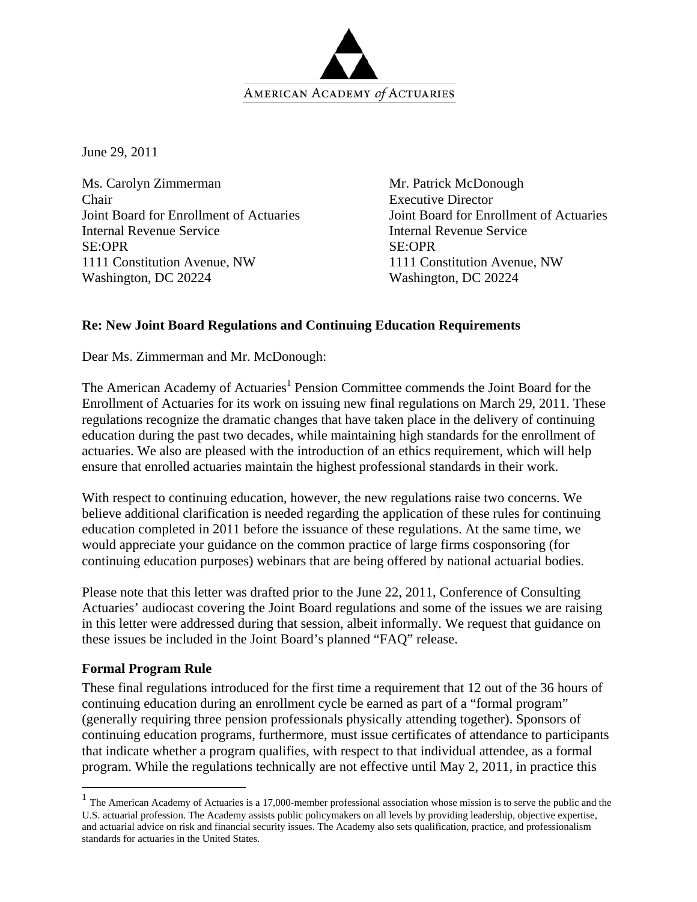

June 29, 2011

Ms. Carolyn Zimmerman Chair Joint Board for Enrollment of Actuaries Internal Revenue Service SE:OPR 1111 Constitution Avenue, NW Washington, DC 20224

Mr. Patrick McDonough Executive Director Joint Board for Enrollment of Actuaries Internal Revenue Service SE:OPR 1111 Constitution Avenue, NW Washington, DC 20224

## **Re: New Joint Board Regulations and Continuing Education Requirements**

Dear Ms. Zimmerman and Mr. McDonough:

The American Academy of Actuaries<sup>1</sup> Pension Committee commends the Joint Board for the Enrollment of Actuaries for its work on issuing new final regulations on March 29, 2011. These regulations recognize the dramatic changes that have taken place in the delivery of continuing education during the past two decades, while maintaining high standards for the enrollment of actuaries. We also are pleased with the introduction of an ethics requirement, which will help ensure that enrolled actuaries maintain the highest professional standards in their work.

With respect to continuing education, however, the new regulations raise two concerns. We believe additional clarification is needed regarding the application of these rules for continuing education completed in 2011 before the issuance of these regulations. At the same time, we would appreciate your guidance on the common practice of large firms cosponsoring (for continuing education purposes) webinars that are being offered by national actuarial bodies.

Please note that this letter was drafted prior to the June 22, 2011, Conference of Consulting Actuaries' audiocast covering the Joint Board regulations and some of the issues we are raising in this letter were addressed during that session, albeit informally. We request that guidance on these issues be included in the Joint Board's planned "FAQ" release.

## **Formal Program Rule**

 $\overline{a}$ 

These final regulations introduced for the first time a requirement that 12 out of the 36 hours of continuing education during an enrollment cycle be earned as part of a "formal program" (generally requiring three pension professionals physically attending together). Sponsors of continuing education programs, furthermore, must issue certificates of attendance to participants that indicate whether a program qualifies, with respect to that individual attendee, as a formal program. While the regulations technically are not effective until May 2, 2011, in practice this

 $<sup>1</sup>$  The American Academy of Actuaries is a 17,000-member professional association whose mission is to serve the public and the</sup> U.S. actuarial profession. The Academy assists public policymakers on all levels by providing leadership, objective expertise, and actuarial advice on risk and financial security issues. The Academy also sets qualification, practice, and professionalism standards for actuaries in the United States.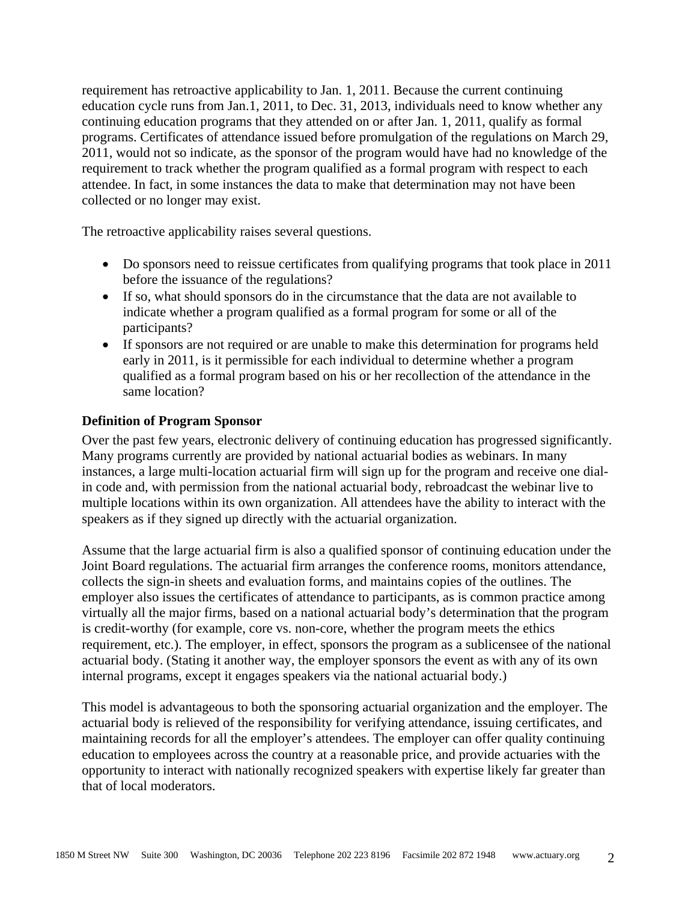requirement has retroactive applicability to Jan. 1, 2011. Because the current continuing education cycle runs from Jan.1, 2011, to Dec. 31, 2013, individuals need to know whether any continuing education programs that they attended on or after Jan. 1, 2011, qualify as formal programs. Certificates of attendance issued before promulgation of the regulations on March 29, 2011, would not so indicate, as the sponsor of the program would have had no knowledge of the requirement to track whether the program qualified as a formal program with respect to each attendee. In fact, in some instances the data to make that determination may not have been collected or no longer may exist.

The retroactive applicability raises several questions.

- Do sponsors need to reissue certificates from qualifying programs that took place in 2011 before the issuance of the regulations?
- If so, what should sponsors do in the circumstance that the data are not available to indicate whether a program qualified as a formal program for some or all of the participants?
- If sponsors are not required or are unable to make this determination for programs held early in 2011, is it permissible for each individual to determine whether a program qualified as a formal program based on his or her recollection of the attendance in the same location?

## **Definition of Program Sponsor**

Over the past few years, electronic delivery of continuing education has progressed significantly. Many programs currently are provided by national actuarial bodies as webinars. In many instances, a large multi-location actuarial firm will sign up for the program and receive one dialin code and, with permission from the national actuarial body, rebroadcast the webinar live to multiple locations within its own organization. All attendees have the ability to interact with the speakers as if they signed up directly with the actuarial organization.

Assume that the large actuarial firm is also a qualified sponsor of continuing education under the Joint Board regulations. The actuarial firm arranges the conference rooms, monitors attendance, collects the sign-in sheets and evaluation forms, and maintains copies of the outlines. The employer also issues the certificates of attendance to participants, as is common practice among virtually all the major firms, based on a national actuarial body's determination that the program is credit-worthy (for example, core vs. non-core, whether the program meets the ethics requirement, etc.). The employer, in effect, sponsors the program as a sublicensee of the national actuarial body. (Stating it another way, the employer sponsors the event as with any of its own internal programs, except it engages speakers via the national actuarial body.)

This model is advantageous to both the sponsoring actuarial organization and the employer. The actuarial body is relieved of the responsibility for verifying attendance, issuing certificates, and maintaining records for all the employer's attendees. The employer can offer quality continuing education to employees across the country at a reasonable price, and provide actuaries with the opportunity to interact with nationally recognized speakers with expertise likely far greater than that of local moderators.